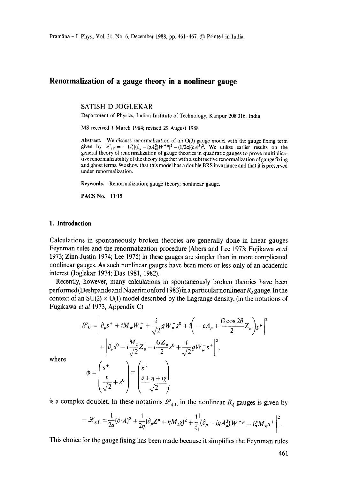# **Renormalization of a gauge theory in a nonlinear gauge**

SATISH D JOGLEKAR

Department of Physics, Indian Institute of Technology, Kanpur 208 016, India

MS received 1 March 1984; revised 29 August 1988

**Abstract.** We discuss renormalization of an 0(3) gauge model with the gauge fixing term given by  $\mathscr{L}_{g.f.}=-1/\zeta[(\partial_u-igA_u^3)W^{+\mu}]^2-(1/2\alpha)(\partial A^3)^2$ . We utilize earlier results on the general theory of renormalization of gauge theories in quadratic gauges to prove multiplicatire renormalizability of the theory together with a subtractive renormalization of gauge fixing and ghost terms. We show that this model has a double BRS invariance and that it is preserved under renormalization.

Keywords. Renormalization; gauge theory; nonlinear gauge.

PACS No. 11.15

#### **1. Introduction**

Calculations in spontaneously broken theories are generally done in linear gauges Feynman rules and the renormalization procedure (Abers and Lee 1973; Fujikawa *et al*  1973; Zinn-Justin 1974; Lee 1975) in these gauges are simpler than in more complicated nonlinear gauges. As such nonlinear gauges have been more or less only of an academic interest (Joglekar 1974; Das 1981, 1982).

Recently, however, many calculations in spontaneously broken theories have been performed (Deshpande and Nazerimonford 1983) in a particular nonlinear  $R_z$  gauge. In the context of an  $SU(2) \times U(1)$  model described by the Lagrange density, (in the notations of Fugikawa *et al* 1973, Appendix C)

$$
\mathcal{L}_0 = \left| \partial_{\mu} s^+ + i M_{\mu} W_{\mu}^+ + \frac{i}{\sqrt{2}} g W_{\mu}^+ s^0 + i \left( -e A_{\mu} + \frac{G \cos 2\theta}{2} Z_{\mu} \right) s^+ \right|^2
$$
  
+ 
$$
\left| \partial_{\mu} s^0 - i \frac{M_z}{\sqrt{2}} Z_{\mu} - i \frac{G Z_{\mu}}{2} s^0 + \frac{i}{\sqrt{2}} g W_{\mu}^- s^+ \right|^2,
$$
  

$$
\phi = \left( \frac{s^+}{\sqrt{2}} + s^0 \right) \equiv \left( \frac{s^+}{\sqrt{2}} + \frac{i}{\sqrt{2}} \right)
$$

where

is a complex doublet. In these notations  $\mathscr{L}_{g.f.}$  in the nonlinear  $R_{\xi}$  gauges is given by

 $\begin{pmatrix} \sqrt{2} & \end{pmatrix}$ 

$$
-\mathscr{L}_{\mathbf{g.f.}} = \frac{1}{2\alpha}(\partial \cdot A)^2 + \frac{1}{2\eta}(\partial_\mu Z^\mu + \eta M_z \chi)^2 + \frac{1}{\xi} \Big| (\partial_\mu - ig A_\mu^3) W^{+\mu} - i \xi M_w s^+ \Big|^2.
$$

This choice for the gauge fixing has been made because it simplifies the Feynman rules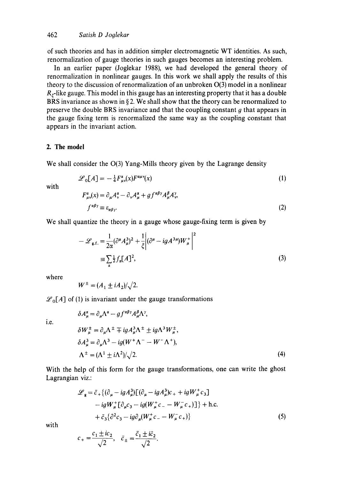of such theories and has in addition simpler electromagnetic WT identities. As such, renormalization of gauge theories in such gauges becomes an interesting problem.

In an earlier paper (Joglekar 1988), we had developed the general theory of renormalization in nonlinear gauges. In this work we shall apply the results of this theory to the discussion of renormalization of an unbroken  $O(3)$  model in a nonlinear  $R_{\epsilon}$ -like gauge. This model in this gauge has an interesting property that it has a double BRS invariance as shown in §2. We shall show that the theory can be renormalized to preserve the double BRS invariance and that the coupling constant  $g$  that appears in the gauge fixing term is renormalized the same way as the coupling constant that appears in the invariant action.

## **2. The model**

We shall consider the O(3) Yang-Mills theory given by the Lagrange density

$$
\mathcal{L}_0[A] = -\frac{1}{4} F_{\mu\nu}^{\alpha}(x) F^{\alpha\mu\nu}(x) \tag{1}
$$

with

$$
F_{\mu\nu}^{\alpha}(x) = \partial_{\mu}A_{\nu}^{\alpha} - \partial_{\nu}A_{\mu}^{\alpha} + gf^{\alpha\beta\gamma}A_{\mu}^{\beta}A_{\nu}^{\gamma},
$$
  

$$
f^{\alpha\beta\gamma} \equiv \varepsilon_{\alpha\beta\gamma}.
$$
 (2)

We shall quantize the theory in a gauge whose gauge-fixing term is given by

$$
-\mathcal{L}_{g.f.} = \frac{1}{2\alpha} (\partial^{\mu} A_{\mu}^{3})^{2} + \frac{1}{\xi} \Big| (\partial^{\mu} - ig A^{3\mu}) W_{\mu}^{+} \Big|^{2}
$$
  

$$
= \sum_{\alpha} \frac{1}{2} f_{\alpha} [A]^{2}, \tag{3}
$$

where

 $W^{\pm} = (A_1 \pm iA_2)/\sqrt{2}$ .

 $6A^{\alpha} = 2A^{\alpha}$   $a f^{\alpha\beta\gamma} A^{\beta} A^{\gamma}$ 

 $\mathscr{L}_{0}[A]$  of (1) is invariant under the gauge transformations

i.e.

$$
\delta W_{\mu}^{\pm} = \partial_{\mu} \Lambda^{\pm} \mp ig A_{\mu}^3 \Lambda^{\pm} \pm ig \Lambda^3 W_{\mu}^{\pm},
$$
  
\n
$$
\delta A_{\mu}^3 = \partial_{\mu} \Lambda^3 - ig(W^{\pm} \Lambda^- - W^- \Lambda^+),
$$
  
\n
$$
\Lambda^{\pm} = (\Lambda^1 \pm i\Lambda^2)/\sqrt{2}.
$$
\n(4)

With the help of this form for the gauge transformations, one can write the ghost Lagrangian viz.:

$$
\mathcal{L}_{\mathbf{g}} = \bar{c}_{+} \{ (\partial_{\mu} - igA_{\mu}^{3}) [(\partial_{\mu} - igA_{\mu}^{3})c_{+} + igW_{\mu}^{+} c_{3}] \n- igW_{\mu}^{+} [\partial_{\mu} c_{3} - ig(W_{\mu}^{+} c_{-} - W_{\mu}^{-} c_{+})] \} + \text{h.c.} \n+ \bar{c}_{3} \{ \partial^{2} c_{3} - ig\partial_{\mu} (W_{\mu}^{+} c_{-} - W_{\mu}^{-} c_{+}) \} \tag{5}
$$

with

$$
c_{+} = \frac{c_1 \pm i c_2}{\sqrt{2}}, \quad \bar{c}_{\pm} = \frac{\bar{c}_1 \pm i \bar{c}_2}{\sqrt{2}}.
$$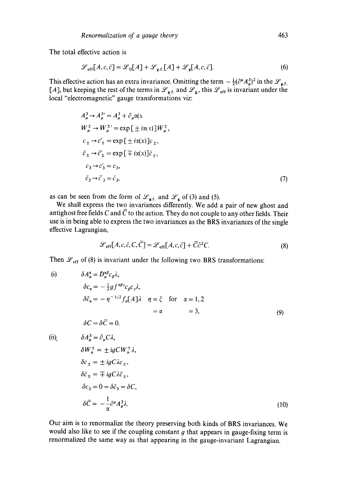The total effective action is

$$
\mathcal{L}_{\text{eff}}[A, c, \bar{c}] = \mathcal{L}_0[A] + \mathcal{L}_{\text{g.f.}}[A] + \mathcal{L}_{\text{g}}[A, c, \bar{c}].
$$
\n(6)

This effective action has an extra invariance. Omitting the term  $-\frac{1}{2}(\partial^{\mu}A_{\mu}^{3})^{2}$  in the  $\mathscr{L}_{g.f.}$ [A], but keeping the rest of the terms in  $\mathscr{L}_{g.f.}$  and  $\mathscr{L}_{g.}$ , this  $\mathscr{L}_{eff}$  is invariant under the local "electromagnetic" gauge transformations viz:

$$
A_{\mu}^{3} \rightarrow A_{\mu}^{3'} = A_{\mu}^{3} + \partial_{\mu} \alpha(x)
$$
  
\n
$$
W_{\mu}^{\pm} \rightarrow W_{\mu}^{\pm'} = \exp\left[\pm i\alpha(x)\right]W_{\mu}^{\pm},
$$
  
\n
$$
c_{\pm} \rightarrow c_{\pm}' = \exp\left[\pm i\alpha(x)\right]c_{\pm},
$$
  
\n
$$
\bar{c}_{\pm} \rightarrow \bar{c}_{\pm}' = \exp\left[\mp i\alpha(x)\right] \bar{c}_{\pm},
$$
  
\n
$$
c_{3} \rightarrow c_{3}' = c_{3},
$$
  
\n
$$
\bar{c}_{3} \rightarrow \bar{c}_{3}' = \bar{c}_{3},
$$
  
\n(7)

as can be seen from the form of  $\mathcal{L}_{\text{at}}$  and  $\mathcal{L}_{\text{o}}$  of (3) and (5).

We shall express the two invariances differently. We add a pair of new ghost and antighost free fields C and  $\overline{C}$  to the action. They do not couple to any other fields. Their use is in being able to express the two invariances as the BRS invariances of the single effective Lagrangian,

$$
\mathcal{L}_{\text{eff}}[A, c, \bar{c}, C, \bar{C}] = \mathcal{L}_{\text{eff}}[A, c, \bar{c}] + \bar{C}\partial^2 C. \tag{8}
$$

Then  $\mathcal{L}_{\text{eff}}$  of (8) is invariant under the following two BRS transformations:

(i) 
$$
\delta A_{\mu}^{\alpha} = D_{\mu}^{\alpha\beta} c_{\beta} \lambda,
$$
  
\n
$$
\delta c_{\alpha} = -\frac{1}{2} g f^{\alpha\beta} c_{\beta} c_{\gamma} \lambda,
$$
  
\n
$$
\delta \bar{c}_{\alpha} = -\eta^{-1/2} f_{\alpha} [A] \lambda \quad \eta = \xi \quad \text{for} \quad \alpha = 1, 2
$$
  
\n
$$
= \alpha \quad = 3,
$$
\n(9)  
\n
$$
\delta C = \delta \bar{C} = 0.
$$
  
\n(ii) 
$$
\delta A_{\mu}^{3} = \partial_{\mu} C \lambda,
$$
  
\n
$$
\delta W_{\mu}^{\pm} = \pm ig C W_{\mu}^{\pm} \lambda,
$$
  
\n
$$
\delta c_{\pm} = \pm ig C \lambda c_{\pm},
$$
  
\n
$$
\delta \bar{c}_{\pm} = \mp ig C \lambda \bar{c}_{\pm},
$$
  
\n
$$
\delta c_{3} = 0 = \delta \bar{c}_{3} = \delta C,
$$
  
\n
$$
\delta \bar{C} = -\frac{1}{\alpha} \partial^{\mu} A_{\mu}^{3} \lambda.
$$
\n(10)

Our aim is to renormalize the theory preserving both kinds of BRS invariances. We would also like to see if the coupling constant  $g$  that appears in gauge-fixing term is renormalized the same way as that appearing in the gauge-invariant Lagrangian.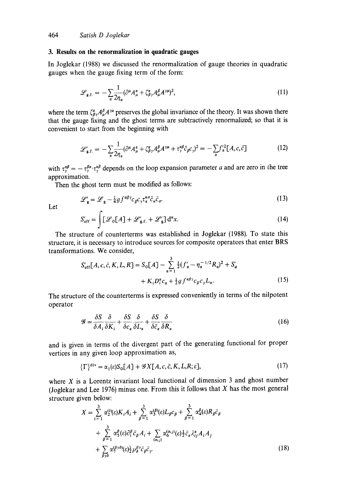## **3. Results on the renormalization in quadratic gauges**

In Joglekar (1988) we discussed the renormalization of gauge theories in quadratic gauges when the gauge fixing term of the form:

$$
\mathcal{L}_{g.f.} = -\sum_{\alpha} \frac{1}{2\eta_{\alpha}} (\partial^{\mu} A^{\alpha}_{\mu} + \zeta^{\alpha}_{\beta \gamma} A^{\beta}_{\mu} A^{\gamma \mu})^2, \tag{11}
$$

where the term  $\zeta_{\beta\gamma}^{\alpha}A_{\mu}^{\beta}A^{\gamma\mu}$  preserves the global invariance of the theory. It was shown there that the gauge fixing and the ghost terms are subtractively renormalized; so that it is convenient to start from the beginning with

$$
\mathcal{L}'_{\mathbf{g.f.}} = -\sum_{\alpha} \frac{1}{2\eta_{\alpha}} (\partial^{\mu} A^{\alpha}_{\mu} + \zeta^{\alpha}_{\beta\gamma} A^{\beta}_{\mu} A^{\gamma\mu} + \tau^{\alpha\beta}_{\gamma} \bar{c}_{\beta} c_{\gamma})^{2} = -\sum_{\alpha} f^{\prime 2}_{\alpha} [A, c, \bar{c}] \tag{12}
$$

with  $\tau^{\alpha\beta}_{\gamma} = -\tau^{\beta\alpha}_{\gamma}\tau^{\alpha\beta}_{\gamma}$  depends on the loop expansion parameter a and are zero in the tree approximation.

Then the ghost term must be modified as follows:

$$
\mathcal{L}'_{\mathbf{g}} = \mathcal{L}_{\mathbf{g}} - \frac{1}{4} g f^{\alpha \beta \gamma} c_{\beta} c_{\gamma} \tau_{\alpha}^{\kappa \sigma} \bar{c}_{\kappa} \bar{c}_{\sigma}.
$$
 (13)

Let

$$
S'_{\rm eff} = \int [\mathcal{L}_0[A] + \mathcal{L}'_{\rm g.f.} + \mathcal{L}'_{\rm g}] d^n x. \tag{14}
$$

The structure of counterterms was established in Joglekar (1988). To state this structure, it is necessary to introduce sources for composite operators that enter BRS transformations. We consider,

$$
S'_{\text{eff}}[A, c, \bar{c}, K, L, R] = S_0[A] - \sum_{\alpha=1}^3 \frac{1}{2} (f'_{\alpha} - \eta_{\alpha}^{-1/2} R_{\alpha})^2 + S'_{g}
$$

$$
+ K_i D_i^{\alpha} c_{\alpha} + \frac{1}{2} g f^{\alpha \beta \gamma} c_{\beta} c_{\gamma} L_{\alpha}.
$$
 (15)

The structure of the counterterms is expressed conveniently in terms of the nilpotent operator

$$
\mathcal{G} = \frac{\delta S}{\delta A_i} \frac{\delta}{\delta K_i} + \frac{\delta S}{\delta c_\alpha} \frac{\delta}{\delta L_\alpha} + \frac{\delta S}{\delta \bar{c}_\alpha} \frac{\delta}{\delta R_\alpha}
$$
(16)

and is given in terms of the divergent part of the generating functional for proper vertices in any given loop approximation as,

$$
\{\Gamma\}^{\text{div}} = \alpha_1(\varepsilon) S_0[A] + \mathcal{G} X[A, c, \bar{c}, K, L, R; \varepsilon],\tag{17}
$$

where  $X$  is a Lorentz invariant local functional of dimension 3 and ghost number (Joglekar and Lee 1976) minus one. From this it follows that  $X$  has the most general structure given below:

$$
X = \sum_{i=1}^{3} \alpha_{2}^{(i)}(\varepsilon) K_{i} A_{i} + \sum_{\beta=1}^{3} \alpha_{3}^{(\beta)}(\varepsilon) L_{\beta} c_{\beta} + \sum_{\beta=1}^{3} \alpha_{4}^{\beta}(\varepsilon) R_{\beta} \bar{c}_{\beta}
$$
  
+ 
$$
\sum_{\beta=1}^{3} \alpha_{5}^{\beta}(\varepsilon) \partial_{i}^{\beta} \bar{c}_{\beta} A_{i} + \sum_{(\alpha_{ij})} \alpha_{6}^{(\alpha_{ij})}(\varepsilon) \frac{1}{2} \bar{c}_{\alpha} \lambda_{ij}^{\alpha} A_{i} A_{j}
$$
  
+ 
$$
\sum_{\beta \gamma \delta} \alpha_{\gamma}^{(\beta \gamma \delta)}(\varepsilon) \frac{1}{2} \rho_{\delta}^{\beta \gamma} \bar{c}_{\beta} \bar{c}_{\gamma}.
$$
 (18)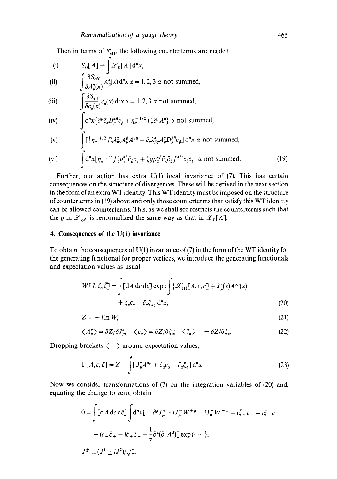Then in terms of  $S_{\text{eff}}'$ , the following counterterms are needed

(i) 
$$
S_0[A] \equiv \int \mathcal{L}_0[A] d^n x,
$$

**(ii)**   $\int \frac{e^{x}}{s} \frac{dx}{a(x)} dx^{n} dx$   $\alpha = 1, 2, 3 \alpha$  not summed,

(iii) 
$$
\int \frac{\partial S_{\text{eff}}}{\partial c_{\alpha}(x)} c_{\alpha}(x) d^{n}x \alpha = 1, 2, 3 \alpha \text{ not summed,}
$$

(iv) 
$$
\int d^n x \{ \partial^\mu \bar{c}_\alpha D_\mu^{\alpha\beta} c_\beta + \eta_\alpha^{-1/2} f'_\alpha \partial \cdot A^\alpha \} \propto \text{not summed},
$$

(v) 
$$
\int \left[\frac{1}{2}\eta_{\alpha}^{-1/2}f'_{\alpha}\lambda_{\beta\gamma}^{\alpha}A_{\mu}^{\beta}A^{\gamma\mu}-\bar{c}_{\alpha}\lambda_{\beta\gamma}^{\alpha}A_{\mu}^{\gamma}D_{\mu}^{\beta\delta}c_{\beta}\right]d''x \propto \text{not summed},
$$

(vi) 
$$
\int d^n x [\eta_\alpha^{-1/2} f'_\alpha \rho_\gamma^{\alpha \beta} \bar{c}_\beta c_\gamma + \frac{1}{4} g \rho_\alpha^{\lambda \beta} \bar{c}_\lambda \bar{c}_\beta f^{\alpha \delta \epsilon} c_\delta c_\epsilon] \propto \text{ not summed.}
$$
 (19)

Further, our action has extra U(1) local invariance of (7). This has certain consequences on the structure of divergences. These will be derived in the next section in the form of an extra WT identity. This WT identity must be imposed on the structure of counterterms in (19) above and only those counterterms that satisfy this WT identity can be allowed counterterms. This, as we shall see restricts the counterterms such that the g in  $\mathscr{L}_{g.f.}$  is renormalized the same way as that in  $\mathscr{L}_0[A]$ .

#### **4. Consequences of the U(I) invarianee**

To obtain the consequences of  $U(1)$  invariance of (7) in the form of the WT identity for the generating functional for proper vertices, we introduce the generating functionals and expectation values as usual

$$
W[J,\xi,\overline{\xi}] = \int [dA dc d\overline{c}] \exp i \int \{ \mathcal{L}'_{\text{eff}}[A,c,\overline{c}] + J^{\alpha}_{\mu}(x)A^{\alpha\mu}(x) + \overline{\xi}_{\alpha}c_{\alpha} + \overline{c}_{\alpha}\xi_{\alpha}\} d^{\alpha}x,
$$
\n(20)

$$
Z = -i\ln W,\tag{21}
$$

$$
\langle A^{\alpha}_{\mu} \rangle = \delta Z / \delta J^{\alpha}_{\mu}, \quad \langle c_{\alpha} \rangle = \delta Z / \delta \bar{\xi}_{\alpha}, \quad \langle \bar{c}_{\alpha} \rangle = - \delta Z / \delta \xi_{\alpha}.
$$
 (22)

Dropping brackets  $\langle \rangle$  around expectation values,

$$
\Gamma[A, c, \bar{c}] = Z - \int [J^{\alpha}_{\mu} A^{\alpha \mu} + \bar{\xi}_{\alpha} c_{\alpha} + \bar{c}_{\alpha} \xi_{\alpha}] d^{n}x.
$$
 (23)

Now we consider transformations of (7) on the integration variables of (20) and, equating the change to zero, obtain:

$$
0 = \int [dA dc d\bar{c}] \int d^n x [-\partial^\mu J_\mu^3 + iJ_\mu^- W^{+\mu} - iJ_\mu^+ W^{-\mu} + i\bar{\xi}_- c_+ - i\xi_+ \bar{c} + i\bar{c}_-\xi_+ - i\bar{c}_+\xi_- - \frac{1}{\alpha}\partial^2(\partial \cdot A^3)] \exp i\{\cdots\},
$$
  

$$
J^{\pm} \equiv (J^1 \pm iJ^2)/\sqrt{2}.
$$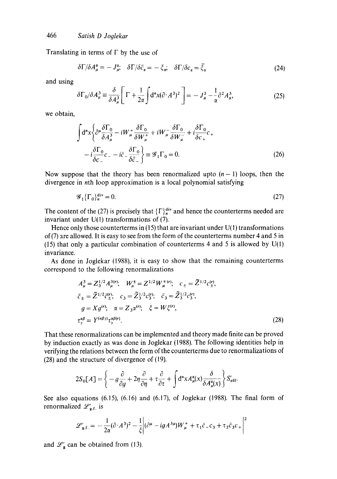Translating in terms of  $\Gamma$  by the use of

$$
\delta \Gamma / \delta A_{\mu}^{\alpha} = -J_{\mu}^{\alpha}; \quad \delta \Gamma / \delta \bar{c}_{\alpha} = -\xi_{\alpha}; \quad \delta \Gamma / \delta c_{\alpha} = \bar{\xi}_{\alpha}
$$
 (24)

and using

$$
\delta\Gamma_0/\delta A_\mu^3 \equiv \frac{\delta}{\delta A_\mu^3} \left[ \Gamma + \frac{1}{2\alpha} \int d^n x (\partial \cdot A^3)^2 \right] = -J_\mu^3 - \frac{1}{\alpha} \partial^2 A_\mu^3,\tag{25}
$$

we obtain,

$$
\int d^{n}x \left\{ \partial^{\mu} \frac{\delta \Gamma_{0}}{\delta A_{\mu}^{3}} - iW_{\mu}^{+} \frac{\delta \Gamma_{0}}{\delta W_{\mu}^{+}} + iW_{\mu}^{-} \frac{\delta \Gamma_{0}}{\delta W_{\mu}^{-}} + i \frac{\delta \Gamma_{0}}{\delta c_{+}} c_{+} \right. \left. - i \frac{\delta \Gamma_{0}}{\delta c_{-}} c_{-} - i \bar{c}_{-} \frac{\delta \Gamma_{0}}{\delta \bar{c}_{-}} \right\} \equiv \mathcal{G}_{1} \Gamma_{0} = 0. \tag{26}
$$

Now suppose that the theory has been renormalized upto  $(n-1)$  loops, then the divergence in nth loop approximation is a local polynomial satisfying

$$
\mathcal{G}_1\{\Gamma_0\}_n^{\text{div}} = 0. \tag{27}
$$

The content of the (27) is precisely that  $\{\Gamma\}_{n}^{\text{div}}$  and hence the counterterms needed are invariant under  $U(1)$  transformations of (7).

Hence only those counterterms in  $(15)$  that are invariant under U(1) transformations of(7) are allowed. It is easy to see from the form of the counterterms number 4 and 5 in (15) that only a particular combination of counterterms 4 and 5 is allowed by  $U(1)$ invariance.

As done in Joglekar (1988), it is easy to show that the remaining counterterms correspond to the following renormatizations

$$
A_{\mu}^{3} = Z_{3}^{1/2} A_{\mu}^{3(r)}; \quad W_{\mu}^{\pm} = Z^{1/2} W_{\mu}^{\pm(r)}; \quad c_{\pm} = \tilde{Z}^{1/2} c_{\pm}^{(r)},
$$
  
\n
$$
\bar{c}_{\pm} = \tilde{Z}^{1/2} \bar{c}_{\pm}^{(r)}; \quad c_{3} = \tilde{Z}_{3}^{1/2} c_{3}^{(r)}; \quad \bar{c}_{3} = \tilde{Z}_{3}^{1/2} c_{3}^{(r)},
$$
  
\n
$$
g = X g^{(r)}; \quad \alpha = Z_{3} \alpha^{(r)}; \quad \xi = W \xi^{(r)},
$$
  
\n
$$
\tau_{\gamma}^{\alpha \beta} = Y^{(\alpha \beta \gamma)} \tau_{\gamma}^{\alpha \beta(r)}.
$$
\n(28)

That these renormalizations can be implemented and theory made finite can be proved by induction exactly as was done in Joglekar (1988). The following identities help in verifying the relations between the form of the counterterms due to renormalizations of (28) and the structure of divergence of (19).

$$
2S_0[A] = \left\{ -g\frac{\partial}{\partial g} + 2\eta \frac{\partial}{\partial \eta} + \tau \frac{\partial}{\partial \tau} + \int d^n x A_\mu^\alpha(x) \frac{\partial}{\partial A_\mu^\alpha(x)} \right\} S_{\text{eff}}'.
$$

See also equations (6.15), (6.16) and (6.17), of Joglekar (1988). The final form of renormalized  $\mathscr{L}'_{g.f.}$  is

$$
\mathscr{L}'_{g.f.} = -\frac{1}{2\alpha}(\partial \cdot A^3)^2 - \frac{1}{\xi} \Big| (\partial^\mu - igA^{3\mu})W^+_\mu + \tau_1 \bar{c}_- c_3 + \tau_2 \bar{c}_3 c_+ \Big|^2
$$

and  $\mathcal{L}'_g$  can be obtained from (13).